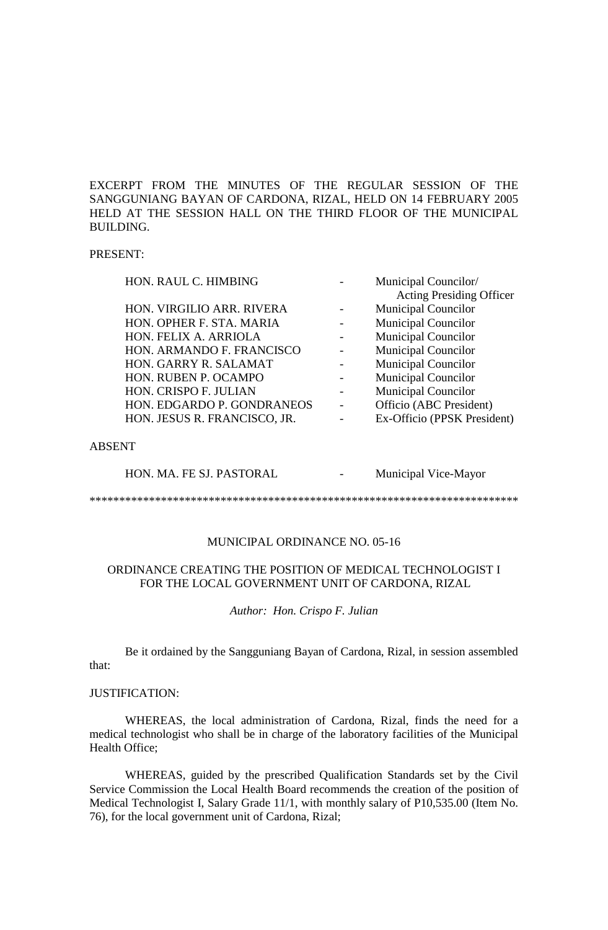EXCERPT FROM THE MINUTES OF THE REGULAR SESSION OF THE SANGGUNIANG BAYAN OF CARDONA, RIZAL, HELD ON 14 FEBRUARY 2005 HELD AT THE SESSION HALL ON THE THIRD FLOOR OF THE MUNICIPAL BUILDING.

## PRESENT:

| <b>Acting Presiding Officer</b><br><b>Municipal Councilor</b><br>HON. VIRGILIO ARR. RIVERA<br><b>Municipal Councilor</b><br>HON. OPHER F. STA. MARIA<br><b>Municipal Councilor</b><br>HON. FELIX A. ARRIOLA<br><b>Municipal Councilor</b><br>HON. ARMANDO F. FRANCISCO<br><b>Municipal Councilor</b><br>HON. GARRY R. SALAMAT<br>HON. RUBEN P. OCAMPO<br><b>Municipal Councilor</b> |  |
|-------------------------------------------------------------------------------------------------------------------------------------------------------------------------------------------------------------------------------------------------------------------------------------------------------------------------------------------------------------------------------------|--|
|                                                                                                                                                                                                                                                                                                                                                                                     |  |
|                                                                                                                                                                                                                                                                                                                                                                                     |  |
|                                                                                                                                                                                                                                                                                                                                                                                     |  |
|                                                                                                                                                                                                                                                                                                                                                                                     |  |
|                                                                                                                                                                                                                                                                                                                                                                                     |  |
|                                                                                                                                                                                                                                                                                                                                                                                     |  |
|                                                                                                                                                                                                                                                                                                                                                                                     |  |
| <b>Municipal Councilor</b><br>HON. CRISPO F. JULIAN                                                                                                                                                                                                                                                                                                                                 |  |
| Officio (ABC President)<br>HON. EDGARDO P. GONDRANEOS                                                                                                                                                                                                                                                                                                                               |  |
| Ex-Officio (PPSK President)<br>HON. JESUS R. FRANCISCO, JR.                                                                                                                                                                                                                                                                                                                         |  |

### ABSENT

HON. MA. FE SJ. PASTORAL - Municipal Vice-Mayor

\*\*\*\*\*\*\*\*\*\*\*\*\*\*\*\*\*\*\*\*\*\*\*\*\*\*\*\*\*\*\*\*\*\*\*\*\*\*\*\*\*\*\*\*\*\*\*\*\*\*\*\*\*\*\*\*\*\*\*\*\*\*\*\*\*\*\*\*\*\*\*\*

# MUNICIPAL ORDINANCE NO. 05-16

## ORDINANCE CREATING THE POSITION OF MEDICAL TECHNOLOGIST I FOR THE LOCAL GOVERNMENT UNIT OF CARDONA, RIZAL

*Author: Hon. Crispo F. Julian*

Be it ordained by the Sangguniang Bayan of Cardona, Rizal, in session assembled that:

## JUSTIFICATION:

WHEREAS, the local administration of Cardona, Rizal, finds the need for a medical technologist who shall be in charge of the laboratory facilities of the Municipal Health Office;

WHEREAS, guided by the prescribed Qualification Standards set by the Civil Service Commission the Local Health Board recommends the creation of the position of Medical Technologist I, Salary Grade 11/1, with monthly salary of P10,535.00 (Item No. 76), for the local government unit of Cardona, Rizal;